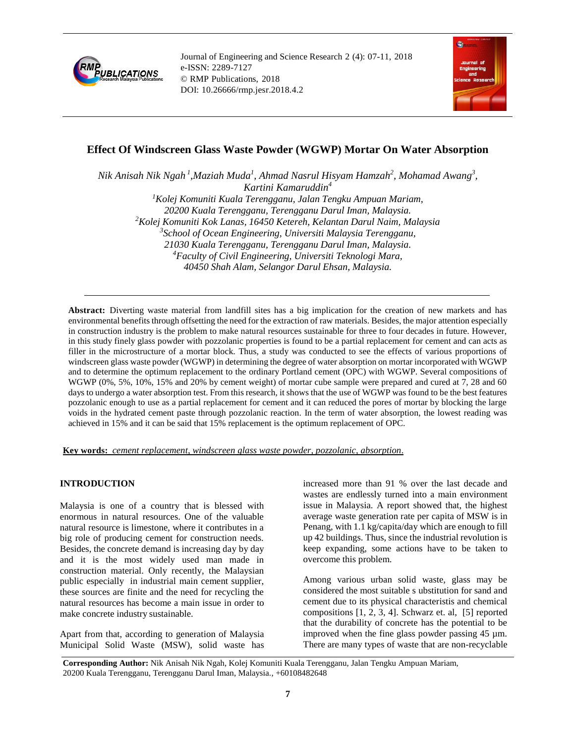

Journal of Engineering and Science Research 2 (4): 07-11, 2018 e-ISSN: 2289-7127 © RMP Publications, 2018 DOI: 10.26666/rmp.jesr.2018.4.2



# **Effect Of Windscreen Glass Waste Powder (WGWP) Mortar On Water Absorption**

*Nik Anisah Nik Ngah <sup>1</sup> ,Maziah Muda<sup>1</sup> , Ahmad Nasrul Hisyam Hamzah<sup>2</sup> , Mohamad Awang<sup>3</sup> , Kartini Kamaruddin<sup>4</sup> <sup>1</sup>Kolej Komuniti Kuala Terengganu, Jalan Tengku Ampuan Mariam, 20200 Kuala Terengganu, Terengganu Darul Iman, Malaysia. <sup>2</sup>Kolej Komuniti Kok Lanas, 16450 Ketereh, Kelantan Darul Naim, Malaysia 3 School of Ocean Engineering, Universiti Malaysia Terengganu, 21030 Kuala Terengganu, Terengganu Darul Iman, Malaysia. <sup>4</sup>Faculty of Civil Engineering, Universiti Teknologi Mara, 40450 Shah Alam, Selangor Darul Ehsan, Malaysia.*

**Abstract:** Diverting waste material from landfill sites has a big implication for the creation of new markets and has environmental benefits through offsetting the need for the extraction of raw materials. Besides, the major attention especially in construction industry is the problem to make natural resources sustainable for three to four decades in future. However, in this study finely glass powder with pozzolanic properties is found to be a partial replacement for cement and can acts as filler in the microstructure of a mortar block. Thus, a study was conducted to see the effects of various proportions of windscreen glass waste powder (WGWP) in determining the degree of water absorption on mortar incorporated with WGWP and to determine the optimum replacement to the ordinary Portland cement (OPC) with WGWP. Several compositions of WGWP (0%, 5%, 10%, 15% and 20% by cement weight) of mortar cube sample were prepared and cured at  $7, 28$  and 60 days to undergo a water absorption test. From this research, it shows that the use of WGWP was found to be the best features pozzolanic enough to use as a partial replacement for cement and it can reduced the pores of mortar by blocking the large voids in the hydrated cement paste through pozzolanic reaction. In the term of water absorption, the lowest reading was achieved in 15% and it can be said that 15% replacement is the optimum replacement of OPC.

#### **Key words:** *cement replacement, windscreen glass waste powder, pozzolanic, absorption*.

# **INTRODUCTION**

Malaysia is one of a country that is blessed with enormous in natural resources. One of the valuable natural resource is limestone, where it contributes in a big role of producing cement for construction needs. Besides, the concrete demand is increasing day by day and it is the most widely used man made in construction material. Only recently, the Malaysian public especially in industrial main cement supplier, these sources are finite and the need for recycling the natural resources has become a main issue in order to make concrete industry sustainable.

Apart from that, according to generation of Malaysia Municipal Solid Waste (MSW), solid waste has increased more than 91 % over the last decade and wastes are endlessly turned into a main environment issue in Malaysia. A report showed that, the highest average waste generation rate per capita of MSW is in Penang, with 1.1 kg/capita/day which are enough to fill up 42 buildings. Thus, since the industrial revolution is keep expanding, some actions have to be taken to overcome this problem.

Among various urban solid waste, glass may be considered the most suitable s ubstitution for sand and cement due to its physical characteristis and chemical compositions [1, 2, 3, 4]. Schwarz et. al, [5] reported that the durability of concrete has the potential to be improved when the fine glass powder passing 45 µm. There are many types of waste that are non-recyclable

**Corresponding Author:** Nik Anisah Nik Ngah, Kolej Komuniti Kuala Terengganu, Jalan Tengku Ampuan Mariam, 20200 Kuala Terengganu, Terengganu Darul Iman, Malaysia., +60108482648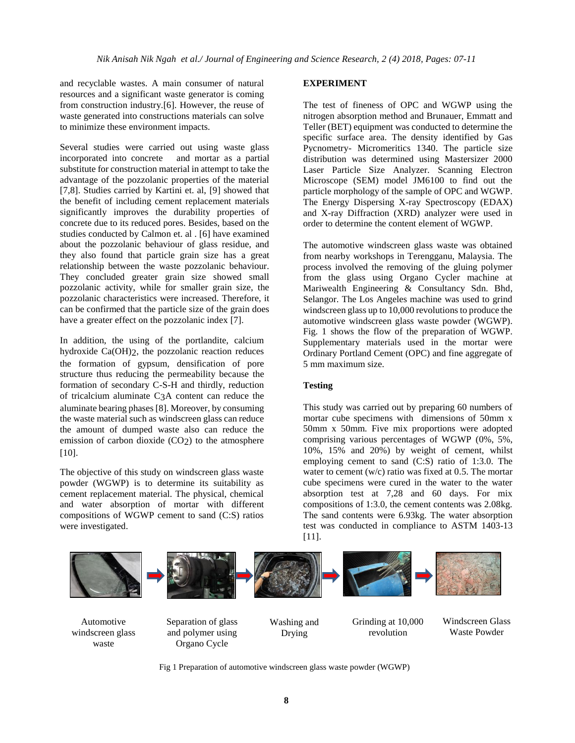and recyclable wastes. A main consumer of natural resources and a significant waste generator is coming from construction industry.[6]. However, the reuse of waste generated into constructions materials can solve to minimize these environment impacts.

Several studies were carried out using waste glass incorporated into concrete and mortar as a partial substitute for construction material in attempt to take the advantage of the pozzolanic properties of the material [7,8]. Studies carried by Kartini et. al, [9] showed that the benefit of including cement replacement materials significantly improves the durability properties of concrete due to its reduced pores. Besides, based on the studies conducted by Calmon et. al . [6] have examined about the pozzolanic behaviour of glass residue, and they also found that particle grain size has a great relationship between the waste pozzolanic behaviour. They concluded greater grain size showed small pozzolanic activity, while for smaller grain size, the pozzolanic characteristics were increased. Therefore, it can be confirmed that the particle size of the grain does have a greater effect on the pozzolanic index [7].

In addition, the using of the portlandite, calcium hydroxide Ca(OH)2, the pozzolanic reaction reduces the formation of gypsum, densification of pore structure thus reducing the permeability because the formation of secondary C-S-H and thirdly, reduction of tricalcium aluminate C3A content can reduce the aluminate bearing phases [8]. Moreover, by consuming the waste material such as windscreen glass can reduce the amount of dumped waste also can reduce the emission of carbon dioxide  $(CO<sub>2</sub>)$  to the atmosphere [10].

The objective of this study on windscreen glass waste powder (WGWP) is to determine its suitability as cement replacement material. The physical, chemical and water absorption of mortar with different compositions of WGWP cement to sand (C:S) ratios were investigated.

# **EXPERIMENT**

The test of fineness of OPC and WGWP using the nitrogen absorption method and Brunauer, Emmatt and Teller (BET) equipment was conducted to determine the specific surface area. The density identified by Gas Pycnometry- Micromeritics 1340. The particle size distribution was determined using Mastersizer 2000 Laser Particle Size Analyzer. Scanning Electron Microscope (SEM) model JM6100 to find out the particle morphology of the sample of OPC and WGWP. The Energy Dispersing X-ray Spectroscopy (EDAX) and X-ray Diffraction (XRD) analyzer were used in order to determine the content element of WGWP.

The automotive windscreen glass waste was obtained from nearby workshops in Terengganu, Malaysia. The process involved the removing of the gluing polymer from the glass using Organo Cycler machine at Mariwealth Engineering & Consultancy Sdn. Bhd, Selangor. The Los Angeles machine was used to grind windscreen glass up to 10,000 revolutions to produce the automotive windscreen glass waste powder (WGWP). Fig. 1 shows the flow of the preparation of WGWP. Supplementary materials used in the mortar were Ordinary Portland Cement (OPC) and fine aggregate of 5 mm maximum size.

# **Testing**

This study was carried out by preparing 60 numbers of mortar cube specimens with dimensions of 50mm x 50mm x 50mm. Five mix proportions were adopted comprising various percentages of WGWP (0%, 5%, 10%, 15% and 20%) by weight of cement, whilst employing cement to sand (C:S) ratio of 1:3.0. The water to cement (w/c) ratio was fixed at 0.5. The mortar cube specimens were cured in the water to the water absorption test at 7,28 and 60 days. For mix compositions of 1:3.0, the cement contents was 2.08kg. The sand contents were 6.93kg. The water absorption test was conducted in compliance to ASTM 1403-13 [11].



Fig 1 Preparation of automotive windscreen glass waste powder (WGWP)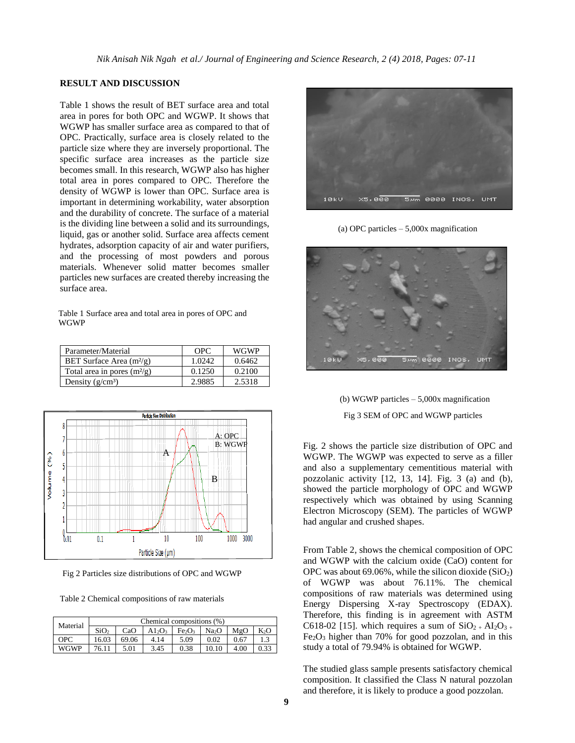### **RESULT AND DISCUSSION**

Table 1 shows the result of BET surface area and total area in pores for both OPC and WGWP. It shows that WGWP has smaller surface area as compared to that of OPC. Practically, surface area is closely related to the particle size where they are inversely proportional. The specific surface area increases as the particle size becomes small. In this research, WGWP also has higher total area in pores compared to OPC. Therefore the density of WGWP is lower than OPC. Surface area is important in determining workability, water absorption and the durability of concrete. The surface of a material is the dividing line between a solid and its surroundings, liquid, gas or another solid. Surface area affects cement hydrates, adsorption capacity of air and water purifiers, and the processing of most powders and porous materials. Whenever solid matter becomes smaller particles new surfaces are created thereby increasing the surface area.

Table 1 Surface area and total area in pores of OPC and WGWP

| Parameter/Material            | OPC.   | <b>WGWP</b> |
|-------------------------------|--------|-------------|
| BET Surface Area $(m^2/g)$    | 1.0242 | 0.6462      |
| Total area in pores $(m^2/g)$ | 0.1250 | 0.2100      |
| Density $(g/cm^3)$            | 2.9885 | 2.5318      |



Fig 2 Particles size distributions of OPC and WGWP

Table 2 Chemical compositions of raw materials

| Material    | Chemical compositions (%) |       |                                |                                |                   |      |                  |  |
|-------------|---------------------------|-------|--------------------------------|--------------------------------|-------------------|------|------------------|--|
|             | SiO <sub>2</sub>          | CaO   | A1 <sub>2</sub> O <sub>3</sub> | Fe <sub>2</sub> O <sub>3</sub> | Na <sub>2</sub> O | MgO  | K <sub>2</sub> O |  |
| OPC         | 16.03                     | 69.06 | 4.14                           | 5.09                           | 0.02              | 0.67 |                  |  |
| <b>WGWP</b> | 76.11                     | 5.01  | 3.45                           | 0.38                           | 10.10             | 4.00 | 0.33             |  |



(a) OPC particles – 5,000x magnification



 (b) WGWP particles – 5,000x magnification Fig 3 SEM of OPC and WGWP particles

Fig. 2 shows the particle size distribution of OPC and WGWP. The WGWP was expected to serve as a filler and also a supplementary cementitious material with pozzolanic activity [12, 13, 14]. Fig. 3 (a) and (b), showed the particle morphology of OPC and WGWP respectively which was obtained by using Scanning Electron Microscopy (SEM). The particles of WGWP had angular and crushed shapes.

From Table 2, shows the chemical composition of OPC and WGWP with the calcium oxide (CaO) content for OPC was about 69.06%, while the silicon dioxide  $(SiO<sub>2</sub>)$ of WGWP was about 76.11%. The chemical compositions of raw materials was determined using Energy Dispersing X-ray Spectroscopy (EDAX). Therefore, this finding is in agreement with ASTM C618-02 [15]. which requires a sum of  $SiO_{2+}Al_{2}O_{3+}$  $Fe<sub>2</sub>O<sub>3</sub>$  higher than 70% for good pozzolan, and in this study a total of 79.94% is obtained for WGWP.

The studied glass sample presents satisfactory chemical composition. It classified the Class N natural pozzolan and therefore, it is likely to produce a good pozzolan.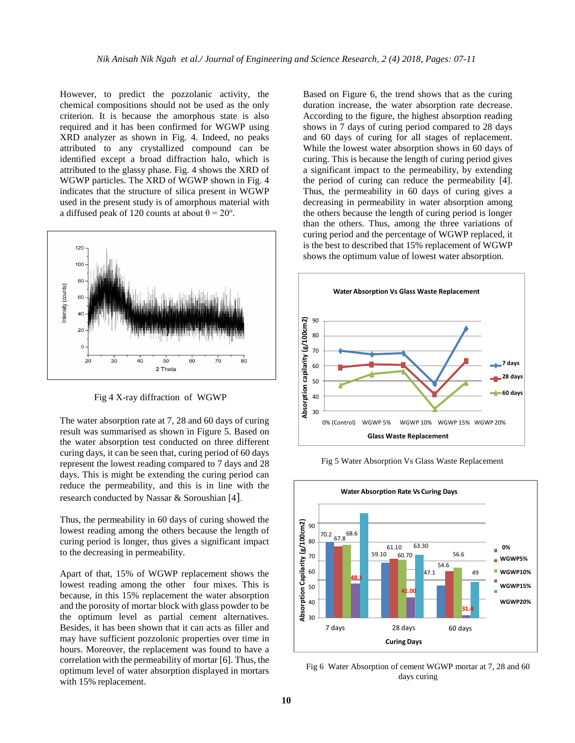However, to predict the pozzolanic activity, the chemical compositions should not be used as the only criterion. It is because the amorphous state is also required and it has been confirmed for WGWP using XRD analyzer as shown in Fig. 4. Indeed, no peaks attributed to any crystallized compound can be identified except a broad diffraction halo, which is attributed to the glassy phase. Fig. 4 shows the XRD of WGWP particles. The XRD of WGWP shown in Fig. 4 indicates that the structure of silica present in WGWP used in the present study is of amorphous material with a diffused peak of 120 counts at about  $\theta = 20^{\circ}$ .



Fig 4 X-ray diffraction of WGWP

The water absorption rate at 7, 28 and 60 days of curing result was summarised as shown in Figure 5. Based on the water absorption test conducted on three different curing days, it can be seen that, curing period of 60 days represent the lowest reading compared to 7 days and 28 days. This is might be extending the curing period can reduce the permeability, and this is in line with the research conducted by Nassar & Soroushian [4].

Thus, the permeability in 60 days of curing showed the lowest reading among the others because the length of curing period is longer, thus gives a significant impact to the decreasing in permeability.

Apart of that, 15% of WGWP replacement shows the lowest reading among the other four mixes. This is because, in this 15% replacement the water absorption and the porosity of mortar block with glass powder to be the optimum level as partial cement alternatives. Besides, it has been shown that it can acts as filler and may have sufficient pozzolonic properties over time in hours. Moreover, the replacement was found to have a correlation with the permeability of mortar [6]. Thus, the optimum level of water absorption displayed in mortars with 15% replacement.

Based on Figure 6, the trend shows that as the curing duration increase, the water absorption rate decrease. According to the figure, the highest absorption reading shows in 7 days of curing period compared to 28 days and 60 days of curing for all stages of replacement. While the lowest water absorption shows in 60 days of curing. This is because the length of curing period gives a significant impact to the permeability, by extending the period of curing can reduce the permeability [4]. Thus, the permeability in 60 days of curing gives a decreasing in permeability in water absorption among the others because the length of curing period is longer than the others. Thus, among the three variations of curing period and the percentage of WGWP replaced, it is the best to described that 15% replacement of WGWP shows the optimum value of lowest water absorption.



Fig 5 Water Absorption Vs Glass Waste Replacement



Fig 6 Water Absorption of cement WGWP mortar at 7, 28 and 60 days curing